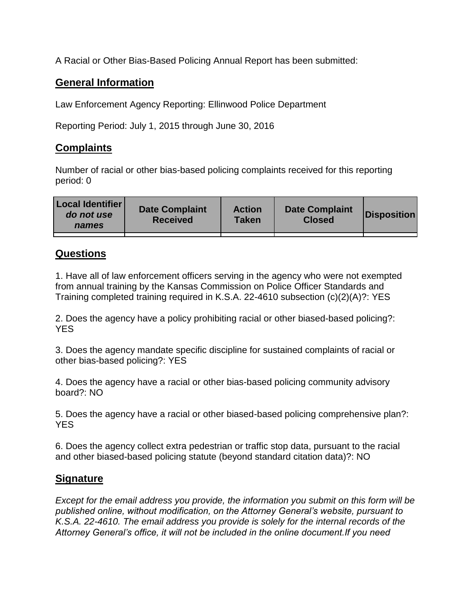A Racial or Other Bias-Based Policing Annual Report has been submitted:

## **General Information**

Law Enforcement Agency Reporting: Ellinwood Police Department

Reporting Period: July 1, 2015 through June 30, 2016

## **Complaints**

Number of racial or other bias-based policing complaints received for this reporting period: 0

| <b>Local Identifier</b><br>do not use<br>names | <b>Date Complaint</b><br><b>Received</b> | <b>Action</b><br><b>Taken</b> | <b>Date Complaint</b><br><b>Closed</b> | Disposition |
|------------------------------------------------|------------------------------------------|-------------------------------|----------------------------------------|-------------|
|                                                |                                          |                               |                                        |             |

## **Questions**

1. Have all of law enforcement officers serving in the agency who were not exempted from annual training by the Kansas Commission on Police Officer Standards and Training completed training required in K.S.A. 22-4610 subsection (c)(2)(A)?: YES

2. Does the agency have a policy prohibiting racial or other biased-based policing?: YES

3. Does the agency mandate specific discipline for sustained complaints of racial or other bias-based policing?: YES

4. Does the agency have a racial or other bias-based policing community advisory board?: NO

5. Does the agency have a racial or other biased-based policing comprehensive plan?: YES

6. Does the agency collect extra pedestrian or traffic stop data, pursuant to the racial and other biased-based policing statute (beyond standard citation data)?: NO

## **Signature**

*Except for the email address you provide, the information you submit on this form will be published online, without modification, on the Attorney General's website, pursuant to K.S.A. 22-4610. The email address you provide is solely for the internal records of the Attorney General's office, it will not be included in the online document.If you need*